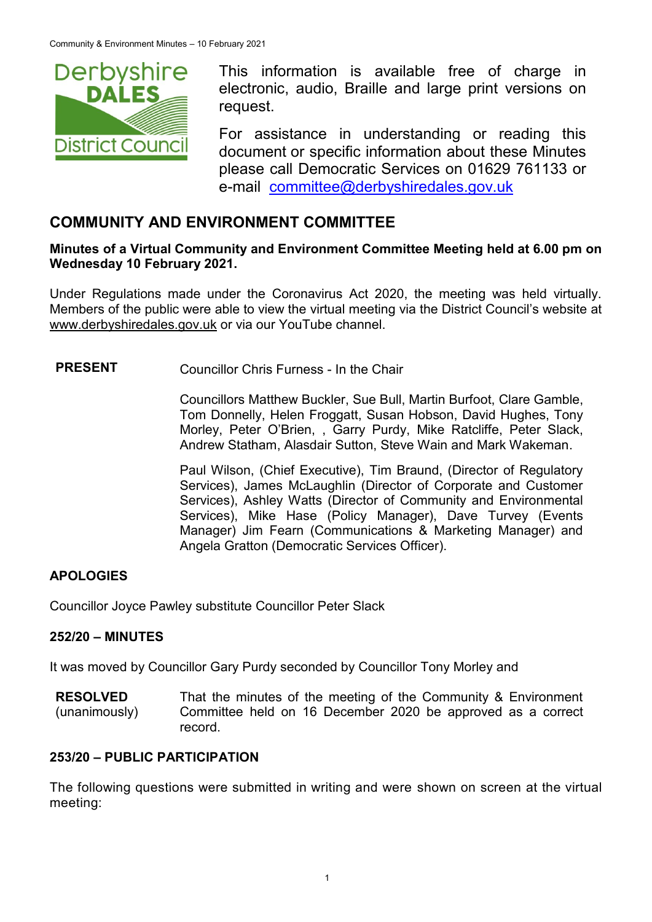

This information is available free of charge in electronic, audio, Braille and large print versions on request.

For assistance in understanding or reading this document or specific information about these Minutes please call Democratic Services on 01629 761133 or e-mail [committee@derbyshiredales.gov.uk](mailto:brian.evans@derbyshiredales.gov.uk)

# **COMMUNITY AND ENVIRONMENT COMMITTEE**

### **Minutes of a Virtual Community and Environment Committee Meeting held at 6.00 pm on Wednesday 10 February 2021.**

Under Regulations made under the Coronavirus Act 2020, the meeting was held virtually. Members of the public were able to view the virtual meeting via the District Council's website at [www.derbyshiredales.gov.uk](http://www.derbyshiredales.gov.uk/) or via our YouTube channel.

# **PRESENT** Councillor Chris Furness - In the Chair

Councillors Matthew Buckler, Sue Bull, Martin Burfoot, Clare Gamble, Tom Donnelly, Helen Froggatt, Susan Hobson, David Hughes, Tony Morley, Peter O'Brien, , Garry Purdy, Mike Ratcliffe, Peter Slack, Andrew Statham, Alasdair Sutton, Steve Wain and Mark Wakeman.

Paul Wilson, (Chief Executive), Tim Braund, (Director of Regulatory Services), James McLaughlin (Director of Corporate and Customer Services), Ashley Watts (Director of Community and Environmental Services), Mike Hase (Policy Manager), Dave Turvey (Events Manager) Jim Fearn (Communications & Marketing Manager) and Angela Gratton (Democratic Services Officer).

## **APOLOGIES**

Councillor Joyce Pawley substitute Councillor Peter Slack

### **252/20 – MINUTES**

It was moved by Councillor Gary Purdy seconded by Councillor Tony Morley and

**RESOLVED** (unanimously) That the minutes of the meeting of the Community & Environment Committee held on 16 December 2020 be approved as a correct record.

### **253/20 – PUBLIC PARTICIPATION**

The following questions were submitted in writing and were shown on screen at the virtual meeting: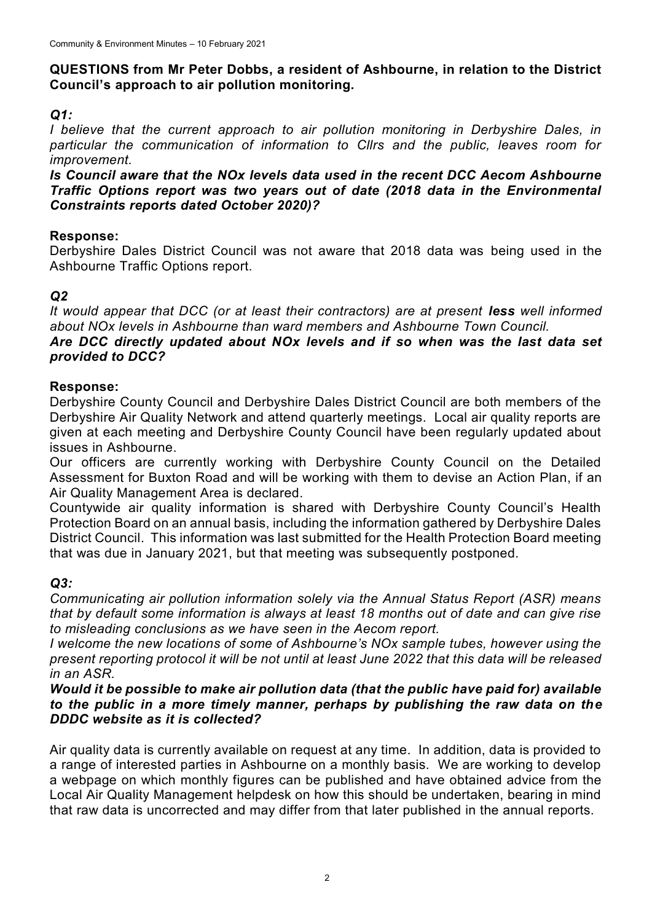## **QUESTIONS from Mr Peter Dobbs, a resident of Ashbourne, in relation to the District Council's approach to air pollution monitoring.**

# *Q1:*

*I believe that the current approach to air pollution monitoring in Derbyshire Dales, in particular the communication of information to Cllrs and the public, leaves room for improvement.*

*Is Council aware that the NOx levels data used in the recent DCC Aecom Ashbourne Traffic Options report was two years out of date (2018 data in the Environmental Constraints reports dated October 2020)?*

## **Response:**

Derbyshire Dales District Council was not aware that 2018 data was being used in the Ashbourne Traffic Options report.

# *Q2*

*It would appear that DCC (or at least their contractors) are at present less well informed about NOx levels in Ashbourne than ward members and Ashbourne Town Council.* 

### *Are DCC directly updated about NOx levels and if so when was the last data set provided to DCC?*

## **Response:**

Derbyshire County Council and Derbyshire Dales District Council are both members of the Derbyshire Air Quality Network and attend quarterly meetings. Local air quality reports are given at each meeting and Derbyshire County Council have been regularly updated about issues in Ashbourne.

Our officers are currently working with Derbyshire County Council on the Detailed Assessment for Buxton Road and will be working with them to devise an Action Plan, if an Air Quality Management Area is declared.

Countywide air quality information is shared with Derbyshire County Council's Health Protection Board on an annual basis, including the information gathered by Derbyshire Dales District Council. This information was last submitted for the Health Protection Board meeting that was due in January 2021, but that meeting was subsequently postponed.

## *Q3:*

*Communicating air pollution information solely via the Annual Status Report (ASR) means that by default some information is always at least 18 months out of date and can give rise to misleading conclusions as we have seen in the Aecom report.*

*I* welcome the new locations of some of Ashbourne's NOx sample tubes, however using the *present reporting protocol it will be not until at least June 2022 that this data will be released in an ASR.*

### *Would it be possible to make air pollution data (that the public have paid for) available to the public in a more timely manner, perhaps by publishing the raw data on the DDDC website as it is collected?*

Air quality data is currently available on request at any time. In addition, data is provided to a range of interested parties in Ashbourne on a monthly basis. We are working to develop a webpage on which monthly figures can be published and have obtained advice from the Local Air Quality Management helpdesk on how this should be undertaken, bearing in mind that raw data is uncorrected and may differ from that later published in the annual reports.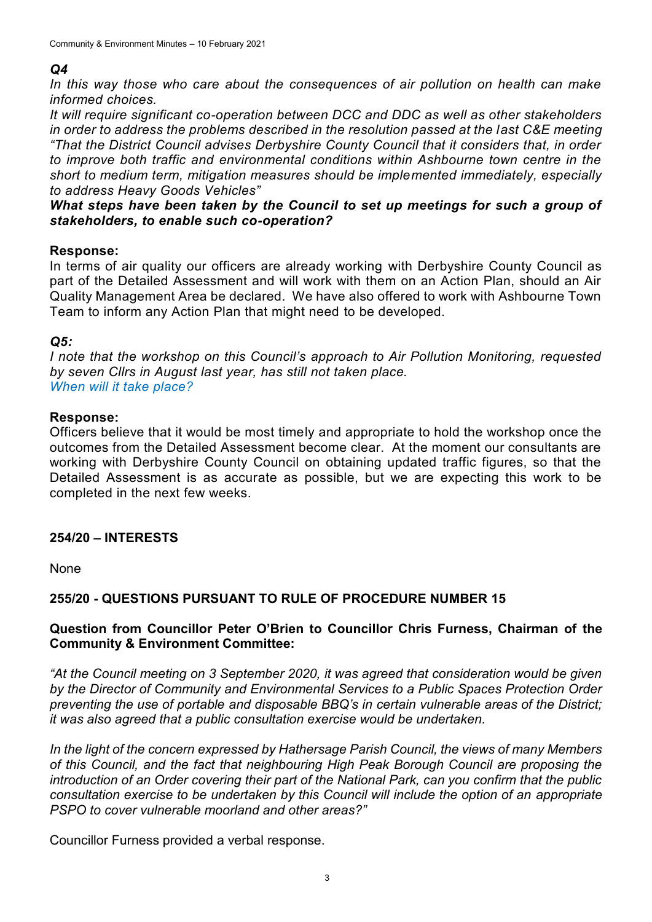### *Q4*

*In this way those who care about the consequences of air pollution on health can make informed choices.*

*It will require significant co-operation between DCC and DDC as well as other stakeholders in order to address the problems described in the resolution passed at the last C&E meeting "That the District Council advises Derbyshire County Council that it considers that, in order to improve both traffic and environmental conditions within Ashbourne town centre in the short to medium term, mitigation measures should be implemented immediately, especially to address Heavy Goods Vehicles"*

### *What steps have been taken by the Council to set up meetings for such a group of stakeholders, to enable such co-operation?*

#### **Response:**

In terms of air quality our officers are already working with Derbyshire County Council as part of the Detailed Assessment and will work with them on an Action Plan, should an Air Quality Management Area be declared. We have also offered to work with Ashbourne Town Team to inform any Action Plan that might need to be developed.

### *Q5:*

*I note that the workshop on this Council's approach to Air Pollution Monitoring, requested by seven Cllrs in August last year, has still not taken place. When will it take place?*

#### **Response:**

Officers believe that it would be most timely and appropriate to hold the workshop once the outcomes from the Detailed Assessment become clear. At the moment our consultants are working with Derbyshire County Council on obtaining updated traffic figures, so that the Detailed Assessment is as accurate as possible, but we are expecting this work to be completed in the next few weeks.

### **254/20 – INTERESTS**

None

### **255/20 - QUESTIONS PURSUANT TO RULE OF PROCEDURE NUMBER 15**

### **Question from Councillor Peter O'Brien to Councillor Chris Furness, Chairman of the Community & Environment Committee:**

*"At the Council meeting on 3 September 2020, it was agreed that consideration would be given by the Director of Community and Environmental Services to a Public Spaces Protection Order preventing the use of portable and disposable BBQ's in certain vulnerable areas of the District; it was also agreed that a public consultation exercise would be undertaken.*

*In the light of the concern expressed by Hathersage Parish Council, the views of many Members of this Council, and the fact that neighbouring High Peak Borough Council are proposing the introduction of an Order covering their part of the National Park, can you confirm that the public consultation exercise to be undertaken by this Council will include the option of an appropriate PSPO to cover vulnerable moorland and other areas?"*

Councillor Furness provided a verbal response.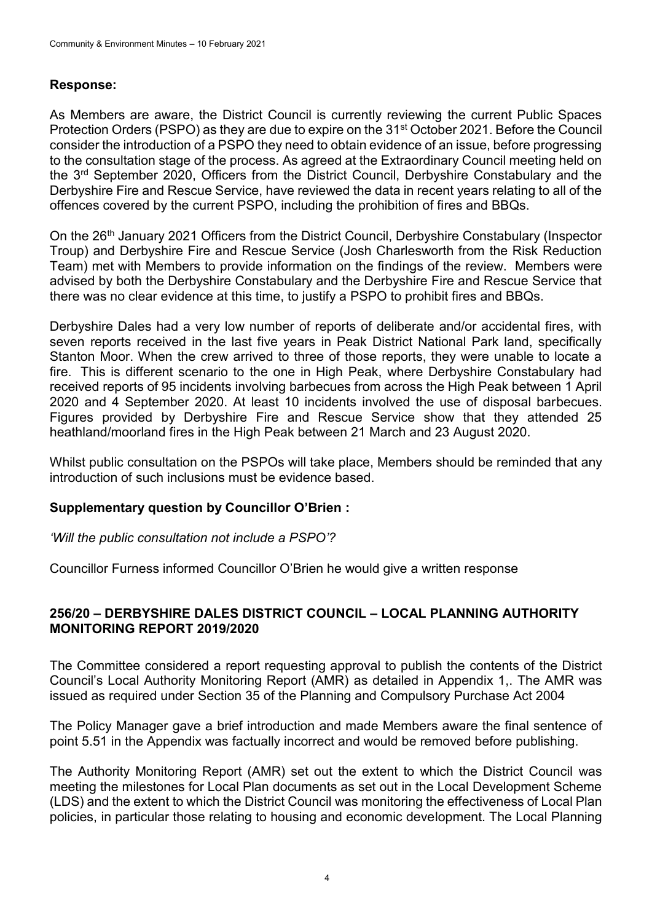## **Response:**

As Members are aware, the District Council is currently reviewing the current Public Spaces Protection Orders (PSPO) as they are due to expire on the 31<sup>st</sup> October 2021. Before the Council consider the introduction of a PSPO they need to obtain evidence of an issue, before progressing to the consultation stage of the process. As agreed at the Extraordinary Council meeting held on the 3<sup>rd</sup> September 2020, Officers from the District Council, Derbyshire Constabulary and the Derbyshire Fire and Rescue Service, have reviewed the data in recent years relating to all of the offences covered by the current PSPO, including the prohibition of fires and BBQs.

On the 26th January 2021 Officers from the District Council, Derbyshire Constabulary (Inspector Troup) and Derbyshire Fire and Rescue Service (Josh Charlesworth from the Risk Reduction Team) met with Members to provide information on the findings of the review. Members were advised by both the Derbyshire Constabulary and the Derbyshire Fire and Rescue Service that there was no clear evidence at this time, to justify a PSPO to prohibit fires and BBQs.

Derbyshire Dales had a very low number of reports of deliberate and/or accidental fires, with seven reports received in the last five years in Peak District National Park land, specifically Stanton Moor. When the crew arrived to three of those reports, they were unable to locate a fire. This is different scenario to the one in High Peak, where Derbyshire Constabulary had received reports of 95 incidents involving barbecues from across the High Peak between 1 April 2020 and 4 September 2020. At least 10 incidents involved the use of disposal barbecues. Figures provided by Derbyshire Fire and Rescue Service show that they attended 25 heathland/moorland fires in the High Peak between 21 March and 23 August 2020.

Whilst public consultation on the PSPOs will take place, Members should be reminded that any introduction of such inclusions must be evidence based.

## **Supplementary question by Councillor O'Brien :**

*'Will the public consultation not include a PSPO'?*

Councillor Furness informed Councillor O'Brien he would give a written response

### **256/20 – DERBYSHIRE DALES DISTRICT COUNCIL – LOCAL PLANNING AUTHORITY MONITORING REPORT 2019/2020**

The Committee considered a report requesting approval to publish the contents of the District Council's Local Authority Monitoring Report (AMR) as detailed in Appendix 1,. The AMR was issued as required under Section 35 of the Planning and Compulsory Purchase Act 2004

The Policy Manager gave a brief introduction and made Members aware the final sentence of point 5.51 in the Appendix was factually incorrect and would be removed before publishing.

The Authority Monitoring Report (AMR) set out the extent to which the District Council was meeting the milestones for Local Plan documents as set out in the Local Development Scheme (LDS) and the extent to which the District Council was monitoring the effectiveness of Local Plan policies, in particular those relating to housing and economic development. The Local Planning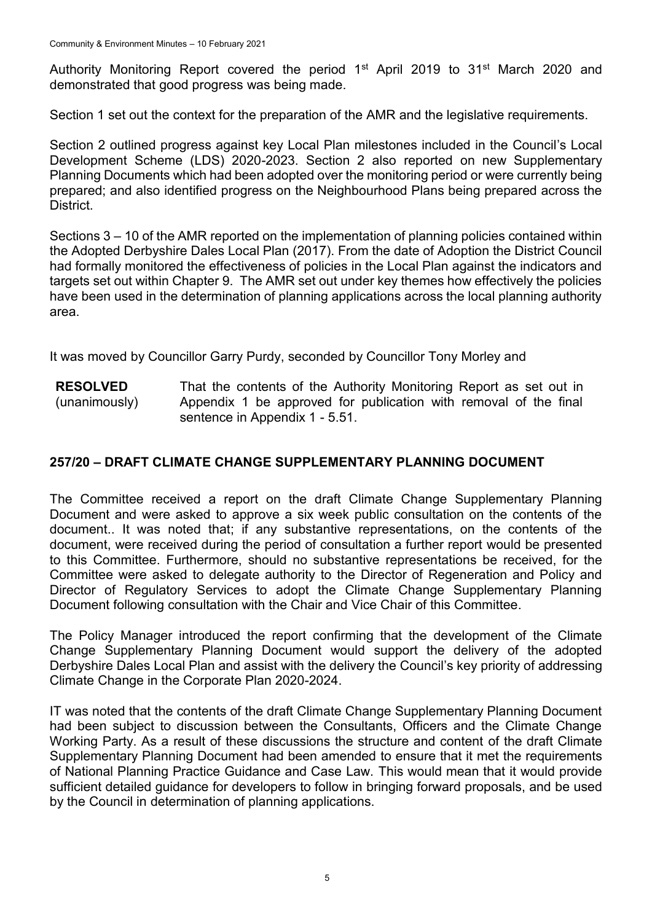Authority Monitoring Report covered the period 1<sup>st</sup> April 2019 to 31<sup>st</sup> March 2020 and demonstrated that good progress was being made.

Section 1 set out the context for the preparation of the AMR and the legislative requirements.

Section 2 outlined progress against key Local Plan milestones included in the Council's Local Development Scheme (LDS) 2020-2023. Section 2 also reported on new Supplementary Planning Documents which had been adopted over the monitoring period or were currently being prepared; and also identified progress on the Neighbourhood Plans being prepared across the District.

Sections 3 – 10 of the AMR reported on the implementation of planning policies contained within the Adopted Derbyshire Dales Local Plan (2017). From the date of Adoption the District Council had formally monitored the effectiveness of policies in the Local Plan against the indicators and targets set out within Chapter 9. The AMR set out under key themes how effectively the policies have been used in the determination of planning applications across the local planning authority area.

It was moved by Councillor Garry Purdy, seconded by Councillor Tony Morley and

**RESOLVED** (unanimously) That the contents of the Authority Monitoring Report as set out in Appendix 1 be approved for publication with removal of the final sentence in Appendix 1 - 5.51.

## **257/20 – DRAFT CLIMATE CHANGE SUPPLEMENTARY PLANNING DOCUMENT**

The Committee received a report on the draft Climate Change Supplementary Planning Document and were asked to approve a six week public consultation on the contents of the document.. It was noted that; if any substantive representations, on the contents of the document, were received during the period of consultation a further report would be presented to this Committee. Furthermore, should no substantive representations be received, for the Committee were asked to delegate authority to the Director of Regeneration and Policy and Director of Regulatory Services to adopt the Climate Change Supplementary Planning Document following consultation with the Chair and Vice Chair of this Committee.

The Policy Manager introduced the report confirming that the development of the Climate Change Supplementary Planning Document would support the delivery of the adopted Derbyshire Dales Local Plan and assist with the delivery the Council's key priority of addressing Climate Change in the Corporate Plan 2020-2024.

IT was noted that the contents of the draft Climate Change Supplementary Planning Document had been subject to discussion between the Consultants, Officers and the Climate Change Working Party. As a result of these discussions the structure and content of the draft Climate Supplementary Planning Document had been amended to ensure that it met the requirements of National Planning Practice Guidance and Case Law. This would mean that it would provide sufficient detailed guidance for developers to follow in bringing forward proposals, and be used by the Council in determination of planning applications.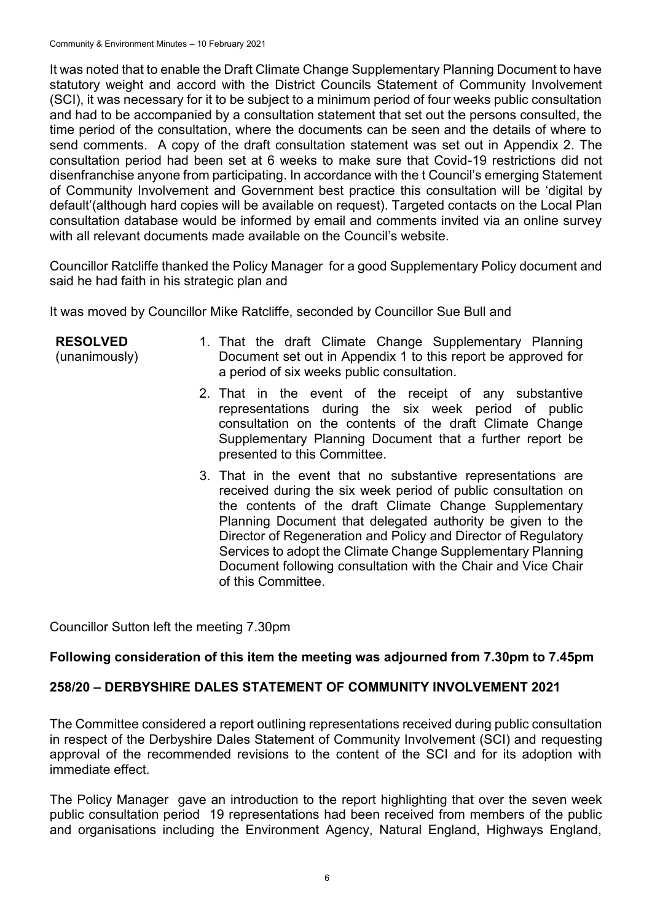It was noted that to enable the Draft Climate Change Supplementary Planning Document to have statutory weight and accord with the District Councils Statement of Community Involvement (SCI), it was necessary for it to be subject to a minimum period of four weeks public consultation and had to be accompanied by a consultation statement that set out the persons consulted, the time period of the consultation, where the documents can be seen and the details of where to send comments. A copy of the draft consultation statement was set out in Appendix 2. The consultation period had been set at 6 weeks to make sure that Covid-19 restrictions did not disenfranchise anyone from participating. In accordance with the t Council's emerging Statement of Community Involvement and Government best practice this consultation will be 'digital by default'(although hard copies will be available on request). Targeted contacts on the Local Plan consultation database would be informed by email and comments invited via an online survey with all relevant documents made available on the Council's website.

Councillor Ratcliffe thanked the Policy Manager for a good Supplementary Policy document and said he had faith in his strategic plan and

It was moved by Councillor Mike Ratcliffe, seconded by Councillor Sue Bull and

| <b>RESOLVED</b><br>(unanimously) | 1. That the draft Climate Change Supplementary Planning<br>Document set out in Appendix 1 to this report be approved for<br>a period of six weeks public consultation.                                                                                                                                                                                                                                                                                                        |
|----------------------------------|-------------------------------------------------------------------------------------------------------------------------------------------------------------------------------------------------------------------------------------------------------------------------------------------------------------------------------------------------------------------------------------------------------------------------------------------------------------------------------|
|                                  | 2. That in the event of the receipt of any substantive<br>representations during the six week period of public<br>consultation on the contents of the draft Climate Change<br>Supplementary Planning Document that a further report be<br>presented to this Committee.                                                                                                                                                                                                        |
|                                  | 3. That in the event that no substantive representations are<br>received during the six week period of public consultation on<br>the contents of the draft Climate Change Supplementary<br>Planning Document that delegated authority be given to the<br>Director of Regeneration and Policy and Director of Regulatory<br>Services to adopt the Climate Change Supplementary Planning<br>Document following consultation with the Chair and Vice Chair<br>of this Committee. |

Councillor Sutton left the meeting 7.30pm

## **Following consideration of this item the meeting was adjourned from 7.30pm to 7.45pm**

## **258/20 – DERBYSHIRE DALES STATEMENT OF COMMUNITY INVOLVEMENT 2021**

The Committee considered a report outlining representations received during public consultation in respect of the Derbyshire Dales Statement of Community Involvement (SCI) and requesting approval of the recommended revisions to the content of the SCI and for its adoption with immediate effect.

The Policy Manager gave an introduction to the report highlighting that over the seven week public consultation period 19 representations had been received from members of the public and organisations including the Environment Agency, Natural England, Highways England,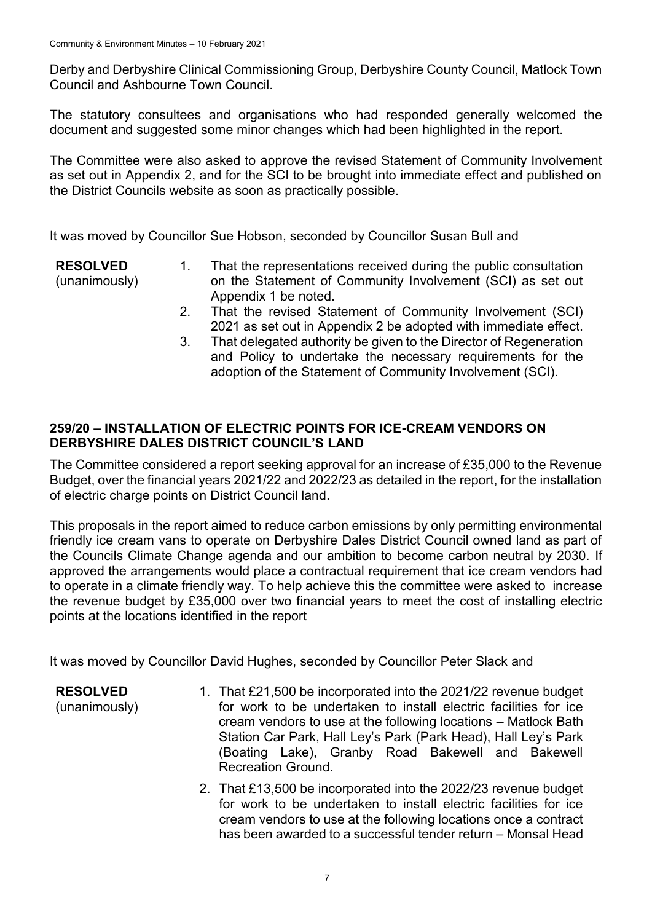Derby and Derbyshire Clinical Commissioning Group, Derbyshire County Council, Matlock Town Council and Ashbourne Town Council.

The statutory consultees and organisations who had responded generally welcomed the document and suggested some minor changes which had been highlighted in the report.

The Committee were also asked to approve the revised Statement of Community Involvement as set out in Appendix 2, and for the SCI to be brought into immediate effect and published on the District Councils website as soon as practically possible.

It was moved by Councillor Sue Hobson, seconded by Councillor Susan Bull and

- **RESOLVED** (unanimously)
- 1. That the representations received during the public consultation on the Statement of Community Involvement (SCI) as set out Appendix 1 be noted.
- 2. That the revised Statement of Community Involvement (SCI) 2021 as set out in Appendix 2 be adopted with immediate effect.
- 3. That delegated authority be given to the Director of Regeneration and Policy to undertake the necessary requirements for the adoption of the Statement of Community Involvement (SCI).

# **259/20 – INSTALLATION OF ELECTRIC POINTS FOR ICE-CREAM VENDORS ON DERBYSHIRE DALES DISTRICT COUNCIL'S LAND**

The Committee considered a report seeking approval for an increase of £35,000 to the Revenue Budget, over the financial years 2021/22 and 2022/23 as detailed in the report, for the installation of electric charge points on District Council land.

This proposals in the report aimed to reduce carbon emissions by only permitting environmental friendly ice cream vans to operate on Derbyshire Dales District Council owned land as part of the Councils Climate Change agenda and our ambition to become carbon neutral by 2030. If approved the arrangements would place a contractual requirement that ice cream vendors had to operate in a climate friendly way. To help achieve this the committee were asked to increase the revenue budget by £35,000 over two financial years to meet the cost of installing electric points at the locations identified in the report

It was moved by Councillor David Hughes, seconded by Councillor Peter Slack and

**RESOLVED** (unanimously) 1. That £21,500 be incorporated into the 2021/22 revenue budget for work to be undertaken to install electric facilities for ice cream vendors to use at the following locations – Matlock Bath Station Car Park, Hall Ley's Park (Park Head), Hall Ley's Park (Boating Lake), Granby Road Bakewell and Bakewell Recreation Ground.

> 2. That £13,500 be incorporated into the 2022/23 revenue budget for work to be undertaken to install electric facilities for ice cream vendors to use at the following locations once a contract has been awarded to a successful tender return – Monsal Head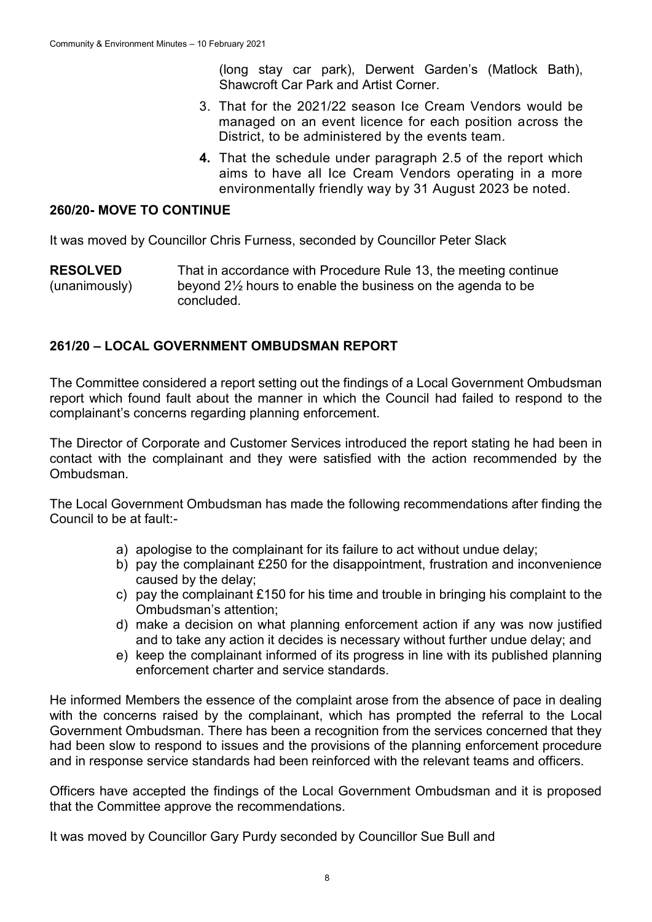(long stay car park), Derwent Garden's (Matlock Bath), Shawcroft Car Park and Artist Corner.

- 3. That for the 2021/22 season Ice Cream Vendors would be managed on an event licence for each position across the District, to be administered by the events team.
- **4.** That the schedule under paragraph 2.5 of the report which aims to have all Ice Cream Vendors operating in a more environmentally friendly way by 31 August 2023 be noted.

#### **260/20- MOVE TO CONTINUE**

It was moved by Councillor Chris Furness, seconded by Councillor Peter Slack

**RESOLVED** (unanimously) That in accordance with Procedure Rule 13, the meeting continue beyond 2½ hours to enable the business on the agenda to be concluded.

### **261/20 – LOCAL GOVERNMENT OMBUDSMAN REPORT**

The Committee considered a report setting out the findings of a Local Government Ombudsman report which found fault about the manner in which the Council had failed to respond to the complainant's concerns regarding planning enforcement.

The Director of Corporate and Customer Services introduced the report stating he had been in contact with the complainant and they were satisfied with the action recommended by the Ombudsman.

The Local Government Ombudsman has made the following recommendations after finding the Council to be at fault:-

- a) apologise to the complainant for its failure to act without undue delay;
- b) pay the complainant £250 for the disappointment, frustration and inconvenience caused by the delay;
- c) pay the complainant £150 for his time and trouble in bringing his complaint to the Ombudsman's attention;
- d) make a decision on what planning enforcement action if any was now justified and to take any action it decides is necessary without further undue delay; and
- e) keep the complainant informed of its progress in line with its published planning enforcement charter and service standards.

He informed Members the essence of the complaint arose from the absence of pace in dealing with the concerns raised by the complainant, which has prompted the referral to the Local Government Ombudsman. There has been a recognition from the services concerned that they had been slow to respond to issues and the provisions of the planning enforcement procedure and in response service standards had been reinforced with the relevant teams and officers.

Officers have accepted the findings of the Local Government Ombudsman and it is proposed that the Committee approve the recommendations.

It was moved by Councillor Gary Purdy seconded by Councillor Sue Bull and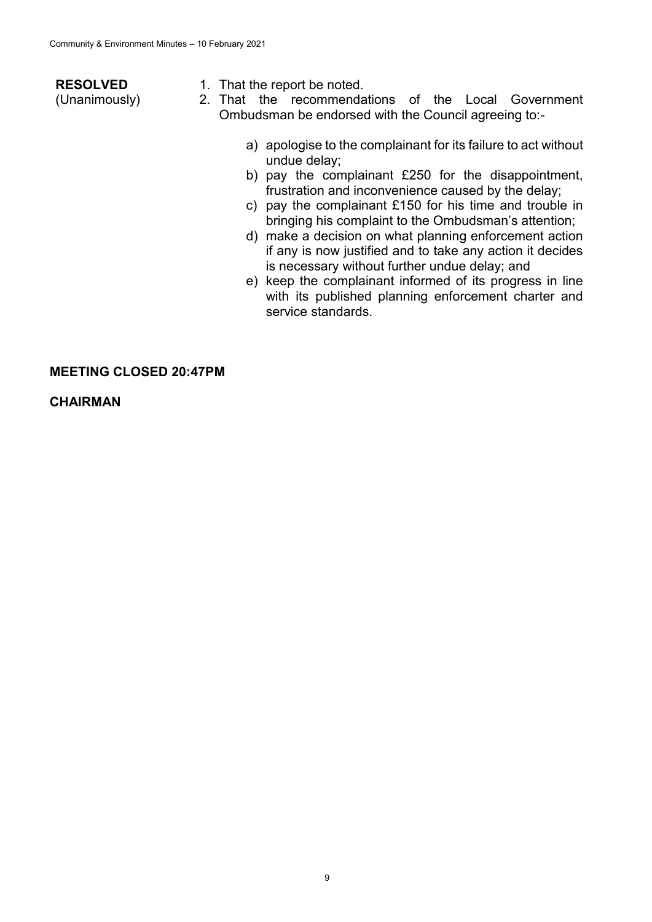| <b>RESOLVED</b> | 1. That the report be noted.                                                                                    |
|-----------------|-----------------------------------------------------------------------------------------------------------------|
| (Unanimously)   | the recommendations of the Local Government<br>2. That                                                          |
|                 | Ombudsman be endorsed with the Council agreeing to:-                                                            |
|                 | a) apologise to the complainant for its failure to act without<br>undue delay;                                  |
|                 | b) pay the complainant £250 for the disappointment,<br>frustration and inconvenience caused by the delay;       |
|                 | c) pay the complainant £150 for his time and trouble in<br>bringing his complaint to the Ombudsman's attention; |

- d) make a decision on what planning enforcement action if any is now justified and to take any action it decides is necessary without further undue delay; and
- e) keep the complainant informed of its progress in line with its published planning enforcement charter and service standards.

#### **MEETING CLOSED 20:47PM**

**CHAIRMAN**

9